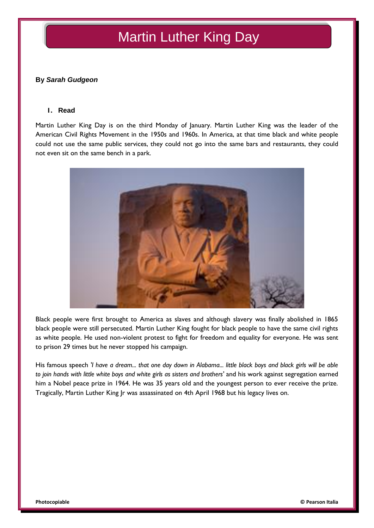# Martin Luther King Day

## **By** *Sarah Gudgeon*

#### **1. Read**

Martin Luther King Day is on the third Monday of January. Martin Luther King was the leader of the American Civil Rights Movement in the 1950s and 1960s. In America, at that time black and white people could not use the same public services, they could not go into the same bars and restaurants, they could not even sit on the same bench in a park.



Black people were first brought to America as slaves and although slavery was finally abolished in 1865 black people were still persecuted. Martin Luther King fought for black people to have the same civil rights as white people. He used non-violent protest to fight for freedom and equality for everyone. He was sent to prison 29 times but he never stopped his campaign.

His famous speech *'I have a dream... that one day down in Alabama... little black boys and black girls will be able to join hands with little white boys and white girls as sisters and brothers'* and his work against segregation earned him a Nobel peace prize in 1964. He was 35 years old and the youngest person to ever receive the prize. Tragically, Martin Luther King Jr was assassinated on 4th April 1968 but his legacy lives on.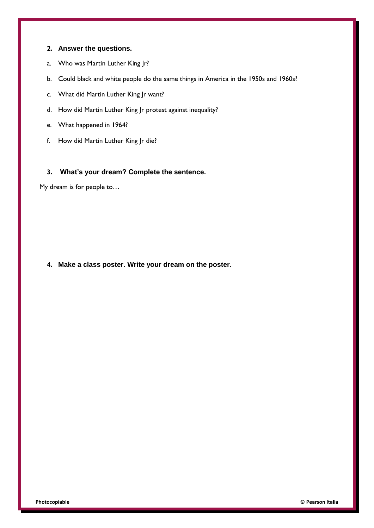## **2. Answer the questions.**

- a. Who was Martin Luther King Jr?
- b. Could black and white people do the same things in America in the 1950s and 1960s?
- c. What did Martin Luther King Jr want?
- d. How did Martin Luther King Jr protest against inequality?
- e. What happened in 1964?
- f. How did Martin Luther King Jr die?

## **3. What's your dream? Complete the sentence.**

My dream is for people to…

**4. Make a class poster. Write your dream on the poster.**